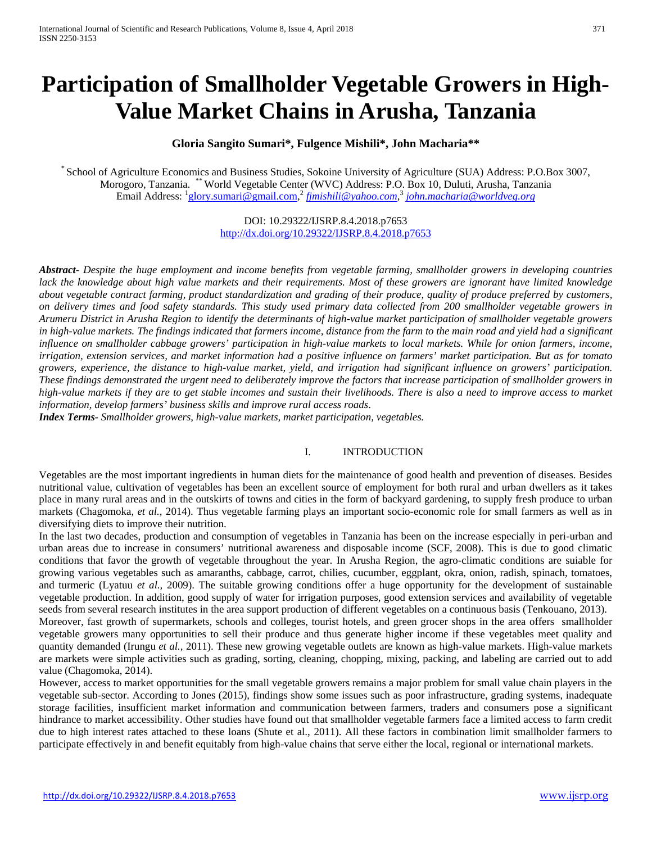# **Participation of Smallholder Vegetable Growers in High-Value Market Chains in Arusha, Tanzania**

# **Gloria Sangito Sumari\*, Fulgence Mishili\*, John Macharia\*\***

\* School of Agriculture Economics and Business Studies, Sokoine University of Agriculture (SUA) Address: P.O.Box 3007, Morogoro, Tanzania. \*\*World Vegetable Center (WVC) Address: P.O. Box 10, Duluti, Arusha, Tanzania Email Address: <sup>1</sup>[glory.sumari@gmail.com,](mailto:glory.sumari@gmail.com)<sup>2</sup> *fimishili@yahoo.com,<sup>3</sup> [john.macharia@worldveg.org](mailto:john.macharia@worldveg.org)* 

> DOI: 10.29322/IJSRP.8.4.2018.p7653 <http://dx.doi.org/10.29322/IJSRP.8.4.2018.p7653>

*Abstract- Despite the huge employment and income benefits from vegetable farming, smallholder growers in developing countries*  lack the knowledge about high value markets and their requirements. Most of these growers are ignorant have limited knowledge *about vegetable contract farming, product standardization and grading of their produce, quality of produce preferred by customers, on delivery times and food safety standards. This study used primary data collected from 200 smallholder vegetable growers in Arumeru District in Arusha Region to identify the determinants of high-value market participation of smallholder vegetable growers in high-value markets. The findings indicated that farmers income, distance from the farm to the main road and yield had a significant influence on smallholder cabbage growers' participation in high-value markets to local markets. While for onion farmers, income, irrigation, extension services, and market information had a positive influence on farmers' market participation. But as for tomato growers, experience, the distance to high-value market, yield, and irrigation had significant influence on growers' participation. These findings demonstrated the urgent need to deliberately improve the factors that increase participation of smallholder growers in high-value markets if they are to get stable incomes and sustain their livelihoods. There is also a need to improve access to market information, develop farmers' business skills and improve rural access roads*.

*Index Terms- Smallholder growers, high-value markets, market participation, vegetables.*

# I. INTRODUCTION

Vegetables are the most important ingredients in human diets for the maintenance of good health and prevention of diseases. Besides nutritional value, cultivation of vegetables has been an excellent source of employment for both rural and urban dwellers as it takes place in many rural areas and in the outskirts of towns and cities in the form of backyard gardening, to supply fresh produce to urban markets (Chagomoka, *et al.,* 2014). Thus vegetable farming plays an important socio-economic role for small farmers as well as in diversifying diets to improve their nutrition.

In the last two decades, production and consumption of vegetables in Tanzania has been on the increase especially in peri-urban and urban areas due to increase in consumers' nutritional awareness and disposable income (SCF, 2008). This is due to good climatic conditions that favor the growth of vegetable throughout the year. In Arusha Region, the agro-climatic conditions are suiable for growing various vegetables such as amaranths, cabbage, carrot, chilies, cucumber, eggplant, okra, onion, radish, spinach, tomatoes, and turmeric (Lyatuu *et al.,* 2009). The suitable growing conditions offer a huge opportunity for the development of sustainable vegetable production. In addition, good supply of water for irrigation purposes, good extension services and availability of vegetable seeds from several research institutes in the area support production of different vegetables on a continuous basis (Tenkouano, 2013).

Moreover, fast growth of supermarkets, schools and colleges, tourist hotels, and green grocer shops in the area offers smallholder vegetable growers many opportunities to sell their produce and thus generate higher income if these vegetables meet quality and quantity demanded (Irungu *et al.,* 2011). These new growing vegetable outlets are known as high-value markets. High-value markets are markets were simple activities such as grading, sorting, cleaning, chopping, mixing, packing, and labeling are carried out to add value (Chagomoka, 2014).

<span id="page-0-0"></span>However, access to market opportunities for the small vegetable growers remains a major problem for small value chain players in the vegetable sub-sector. According to Jones (2015), findings show some issues such as poor infrastructure, grading systems, inadequate storage facilities, insufficient market information and communication between farmers, traders and consumers pose a significant hindrance to market accessibility. Other studies have found out that smallholder vegetable farmers face a limited access to farm credit due to high interest rates attached to these loans (Shute et al., 2011). All these factors in combination limit smallholder farmers to participate effectively in and benefit equitably from high-value chains that serve either the local, regional or international markets.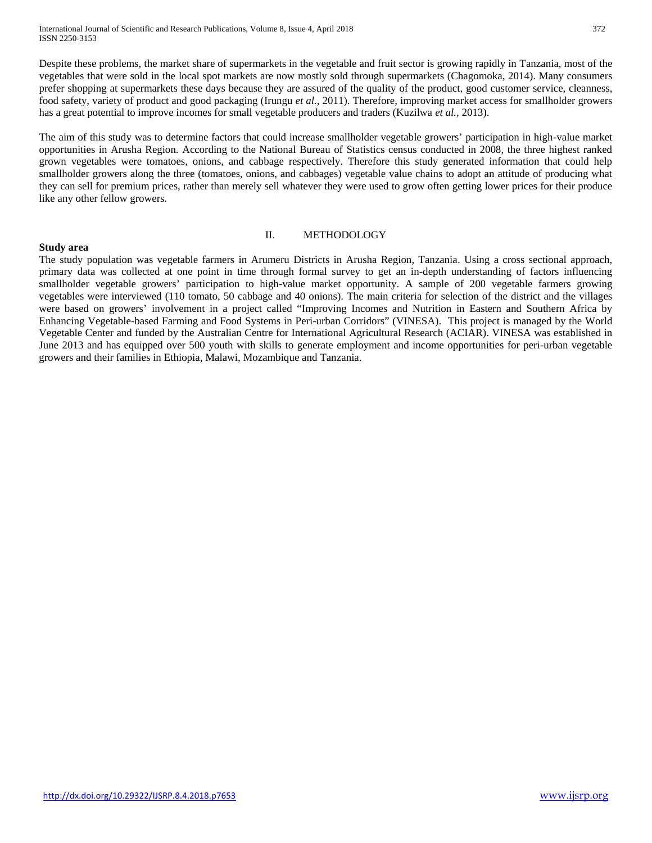International Journal of Scientific and Research Publications, Volume 8, Issue 4, April 2018 372 ISSN 2250-3153

Despite these problems, the market share of supermarkets in the vegetable and fruit sector is growing rapidly in Tanzania, most of the vegetables that were sold in the local spot markets are now mostly sold through supermarkets (Chagomoka, 2014). Many consumers prefer shopping at supermarkets these days because they are assured of the quality of the product, good customer service, cleanness, food safety, variety of product and good packaging (Irungu *et al.,* 2011). Therefore, improving market access for smallholder growers has a great potential to improve incomes for small vegetable producers and traders (Kuzilwa *et al.,* 2013).

The aim of this study was to determine factors that could increase smallholder vegetable growers' participation in high-value market opportunities in Arusha Region. According to the National Bureau of Statistics census conducted in 2008, the three highest ranked grown vegetables were tomatoes, onions, and cabbage respectively. Therefore this study generated information that could help smallholder growers along the three (tomatoes, onions, and cabbages) vegetable value chains to adopt an attitude of producing what they can sell for premium prices, rather than merely sell whatever they were used to grow often getting lower prices for their produce like any other fellow growers.

#### **Study area**

### II. METHODOLOGY

The study population was vegetable farmers in Arumeru Districts in Arusha Region, Tanzania. Using a cross sectional approach, primary data was collected at one point in time through formal survey to get an in-depth understanding of factors influencing smallholder vegetable growers' participation to high-value market opportunity. A sample of 200 vegetable farmers growing vegetables were interviewed (110 tomato, 50 cabbage and 40 onions). The main criteria for selection of the district and the villages were based on growers' involvement in a project called "Improving Incomes and Nutrition in Eastern and Southern Africa by Enhancing Vegetable-based Farming and Food Systems in Peri-urban Corridors" (VINESA). This project is managed by the World Vegetable Center and funded by the Australian Centre for International Agricultural Research (ACIAR). VINESA was established in June 2013 and has equipped over 500 youth with skills to generate employment and income opportunities for peri-urban vegetable growers and their families in Ethiopia, Malawi, Mozambique and Tanzania.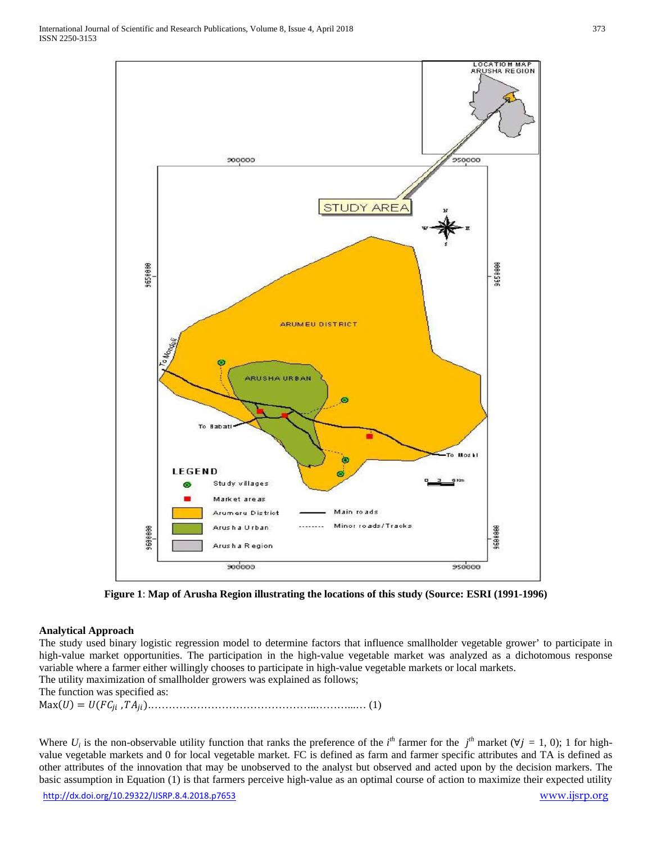

**Figure 1**: **Map of Arusha Region illustrating the locations of this study (Source: ESRI (1991-1996)**

# **Analytical Approach**

The study used binary logistic regression model to determine factors that influence smallholder vegetable grower' to participate in high-value market opportunities. The participation in the high-value vegetable market was analyzed as a dichotomous response variable where a farmer either willingly chooses to participate in high-value vegetable markets or local markets. The utility maximization of smallholder growers was explained as follows;

The function was specified as:

Max() = ( , ).………………………………………..………...… (1)

Where  $U_i$  is the non-observable utility function that ranks the preference of the *i*<sup>th</sup> farmer for the *j*<sup>th</sup> market ( $\forall j = 1, 0$ ); 1 for highvalue vegetable markets and 0 for local vegetable market. FC is defined as farm and farmer specific attributes and TA is defined as other attributes of the innovation that may be unobserved to the analyst but observed and acted upon by the decision markers. The basic assumption in Equation (1) is that farmers perceive high-value as an optimal course of action to maximize their expected utility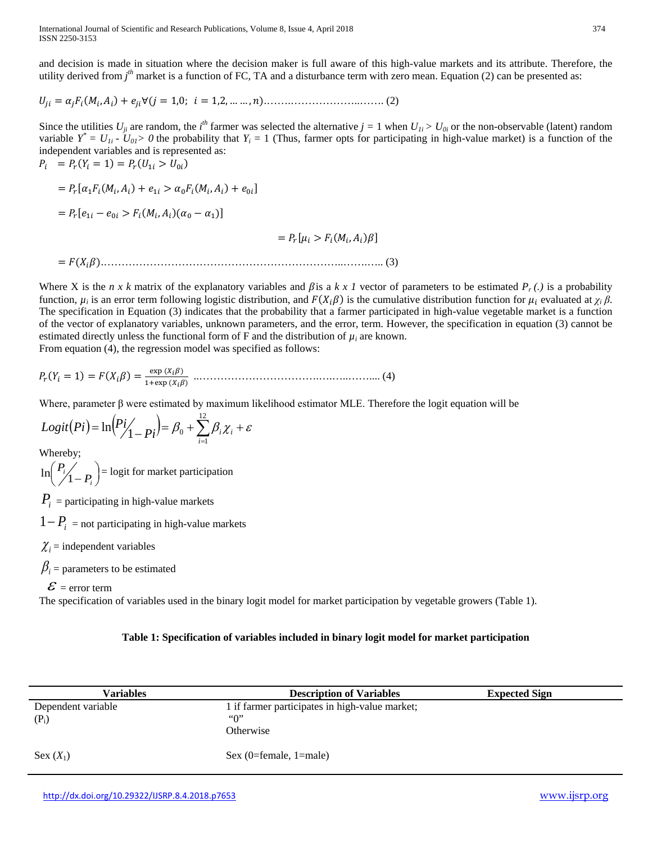and decision is made in situation where the decision maker is full aware of this high-value markets and its attribute. Therefore, the utility derived from *j<sup>th</sup>* market is a function of FC, TA and a disturbance term with zero mean. Equation (2) can be presented as:

$$
U_{ji} = \alpha_j F_i(M_i, A_i) + e_{ji} \forall (j = 1, 0; i = 1, 2, \dots, n). \tag{2}
$$

Since the utilities  $U_{ji}$  are random, the *i*<sup>th</sup> farmer was selected the alternative  $j = 1$  when  $U_{1i} > U_{0i}$  or the non-observable (latent) random variable  $Y^* = U_{1i} - U_{0i} > 0$  the probability that  $Y_i = 1$  (Thus, farmer opts for participating in high-value market) is a function of the independent variables and is represented as:  $P_i = P_r(Y_i = 1) = P_r(U_{1i} > U_{0i})$ 

$$
= P_r[\alpha_1 F_i(M_i, A_i) + e_{1i} > \alpha_0 F_i(M_i, A_i) + e_{0i}]
$$
  
=  $P_r[e_{1i} - e_{0i} > F_i(M_i, A_i)(\alpha_0 - \alpha_1)]$   
=  $P_r[\mu_i > F_i(M_i, A_i)\beta]$ 

= ().…………………………………………………………..…….….. (3)

Where X is the *n x k* matrix of the explanatory variables and  $\beta$ is a *k x l* vector of parameters to be estimated  $P_r(.)$  is a probability function,  $\mu_i$  is an error term following logistic distribution, and  $F(X_i\beta)$  is the cumulative distribution function for  $\mu_i$  evaluated at  $\chi_i\beta$ . The specification in Equation (3) indicates that the probability that a farmer participated in high-value vegetable market is a function of the vector of explanatory variables, unknown parameters, and the error, term. However, the specification in equation (3) cannot be estimated directly unless the functional form of F and the distribution of  $\mu_i$  are known. From equation (4), the regression model was specified as follows:

( <sup>=</sup> 1) <sup>=</sup> () <sup>=</sup> exp () 1+exp () ..…………………………….….…..…….... (4)

Where, parameter β were estimated by maximum likelihood estimator MLE. Therefore the logit equation will be

$$
Logit(Pi) = \ln\left(\frac{Pi}{1 - Pi}\right) = \beta_0 + \sum_{i=1}^{12} \beta_i \chi_i + \varepsilon
$$

Whereby;

 $\binom{P_i}{1-P_i}$  $\ln\left(\frac{P_i}{1-P_i}\right)$  = logit for market participation

 $P_i$  = participating in high-value markets

 $1 - P_i$  = not participating in high-value markets

 $\chi_i$  = independent variables

 $\beta_i$  = parameters to be estimated

 $\mathcal{E}$  = error term

The specification of variables used in the binary logit model for market participation by vegetable growers (Table 1).

# **Table 1: Specification of variables included in binary logit model for market participation**

| Variables          | <b>Description of Variables</b>                | <b>Expected Sign</b> |
|--------------------|------------------------------------------------|----------------------|
| Dependent variable | 1 if farmer participates in high-value market; |                      |
| $(P_i)$            | $\lq\lq\lq\lq\lq\lq$                           |                      |
|                    | Otherwise                                      |                      |
| Sex $(X_1)$        | Sex $(0=female, 1=male)$                       |                      |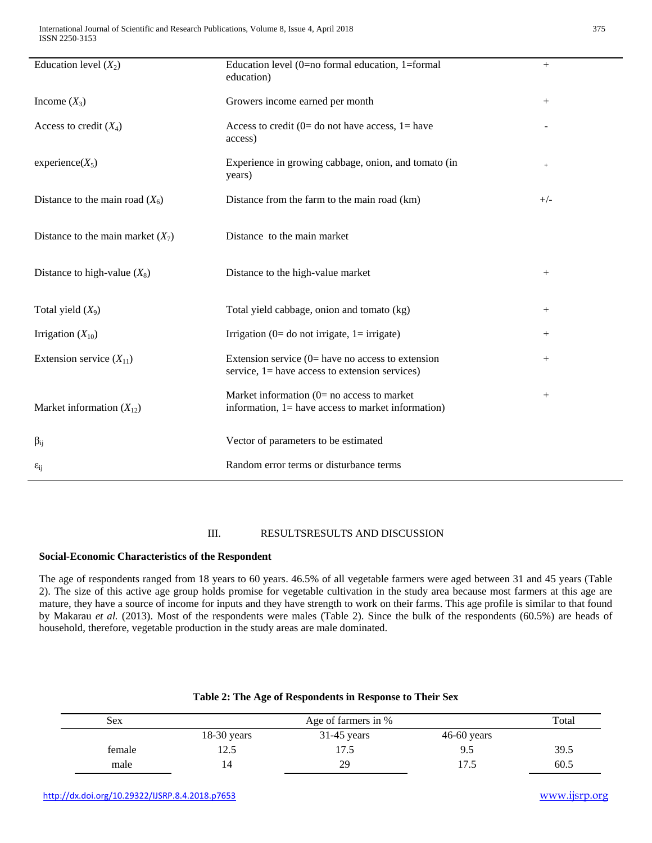| Education level $(X_2)$             | Education level (0=no formal education, 1=formal<br>education)                                           | $+$    |
|-------------------------------------|----------------------------------------------------------------------------------------------------------|--------|
| Income $(X_3)$                      | Growers income earned per month                                                                          | $^{+}$ |
| Access to credit $(X_4)$            | Access to credit (0= do not have access, 1= have<br>access)                                              |        |
| $experience(X_5)$                   | Experience in growing cabbage, onion, and tomato (in<br>years)                                           | $+$    |
| Distance to the main road $(X_6)$   | Distance from the farm to the main road (km)                                                             | $+/-$  |
| Distance to the main market $(X_7)$ | Distance to the main market                                                                              |        |
| Distance to high-value $(X_8)$      | Distance to the high-value market                                                                        | $^{+}$ |
| Total yield $(X_9)$                 | Total yield cabbage, onion and tomato (kg)                                                               | $^{+}$ |
| Irrigation $(X_{10})$               | Irrigation ( $0=$ do not irrigate, $1=$ irrigate)                                                        | $^{+}$ |
| Extension service $(X_{11})$        | Extension service $(0)$ have no access to extension<br>service, $l =$ have access to extension services) | $^{+}$ |
| Market information $(X_{12})$       | Market information $(0=$ no access to market<br>information, 1= have access to market information)       | $^{+}$ |
| $\beta_{ij}$                        | Vector of parameters to be estimated                                                                     |        |
| $\varepsilon_{ij}$                  | Random error terms or disturbance terms                                                                  |        |
|                                     |                                                                                                          |        |

# III. RESULTSRESULTS AND DISCUSSION

#### **Social-Economic Characteristics of the Respondent**

The age of respondents ranged from 18 years to 60 years. 46.5% of all vegetable farmers were aged between 31 and 45 years (Table 2). The size of this active age group holds promise for vegetable cultivation in the study area because most farmers at this age are mature, they have a source of income for inputs and they have strength to work on their farms. This age profile is similar to that found by Makarau *et al.* (2013). Most of the respondents were males (Table 2). Since the bulk of the respondents (60.5%) are heads of household, therefore, vegetable production in the study areas are male dominated.

| <b>Sex</b> |               | Total         |               |      |
|------------|---------------|---------------|---------------|------|
|            | $18-30$ years | $31-45$ years | $46-60$ years |      |
| female     | 174<br>ت کا   |               | 9.5           | 39.5 |
| male       |               | 29            | l 7.5         | 60.5 |

### **Table 2: The Age of Respondents in Response to Their Sex**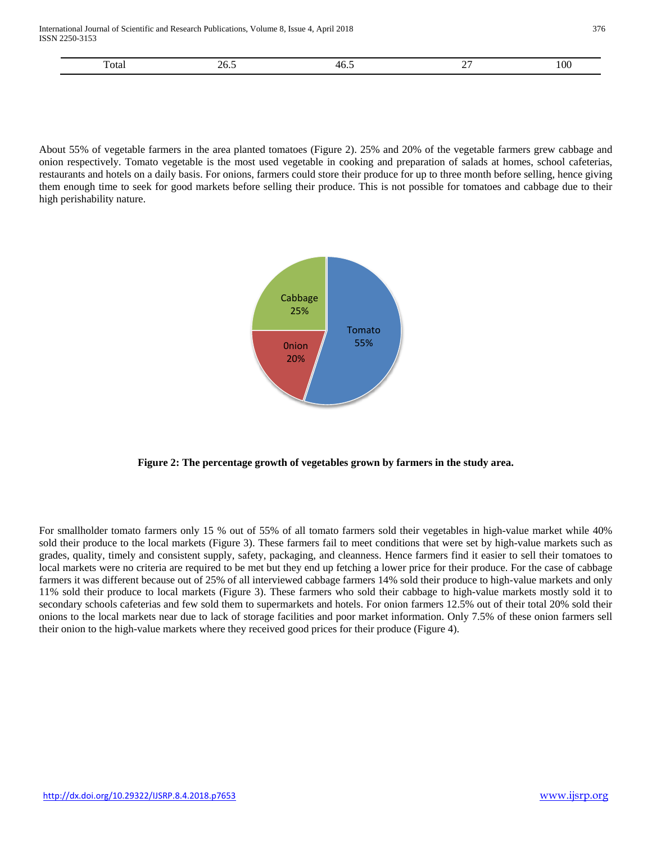International Journal of Scientific and Research Publications, Volume 8, Issue 4, April 2018 376 ISSN 2250-3153

| ''otai<br>. | ن ن<br>$- - - -$ | 40.J | -<br>___ | 100 |
|-------------|------------------|------|----------|-----|
|             |                  |      |          |     |

About 55% of vegetable farmers in the area planted tomatoes (Figure 2). 25% and 20% of the vegetable farmers grew cabbage and onion respectively. Tomato vegetable is the most used vegetable in cooking and preparation of salads at homes, school cafeterias, restaurants and hotels on a daily basis. For onions, farmers could store their produce for up to three month before selling, hence giving them enough time to seek for good markets before selling their produce. This is not possible for tomatoes and cabbage due to their high perishability nature.



**Figure 2: The percentage growth of vegetables grown by farmers in the study area.**

For smallholder tomato farmers only 15 % out of 55% of all tomato farmers sold their vegetables in high-value market while 40% sold their produce to the local markets (Figure 3). These farmers fail to meet conditions that were set by high-value markets such as grades, quality, timely and consistent supply, safety, packaging, and cleanness. Hence farmers find it easier to sell their tomatoes to local markets were no criteria are required to be met but they end up fetching a lower price for their produce. For the case of cabbage farmers it was different because out of 25% of all interviewed cabbage farmers 14% sold their produce to high-value markets and only 11% sold their produce to local markets (Figure 3). These farmers who sold their cabbage to high-value markets mostly sold it to secondary schools cafeterias and few sold them to supermarkets and hotels. For onion farmers 12.5% out of their total 20% sold their onions to the local markets near due to lack of storage facilities and poor market information. Only 7.5% of these onion farmers sell their onion to the high-value markets where they received good prices for their produce (Figure 4).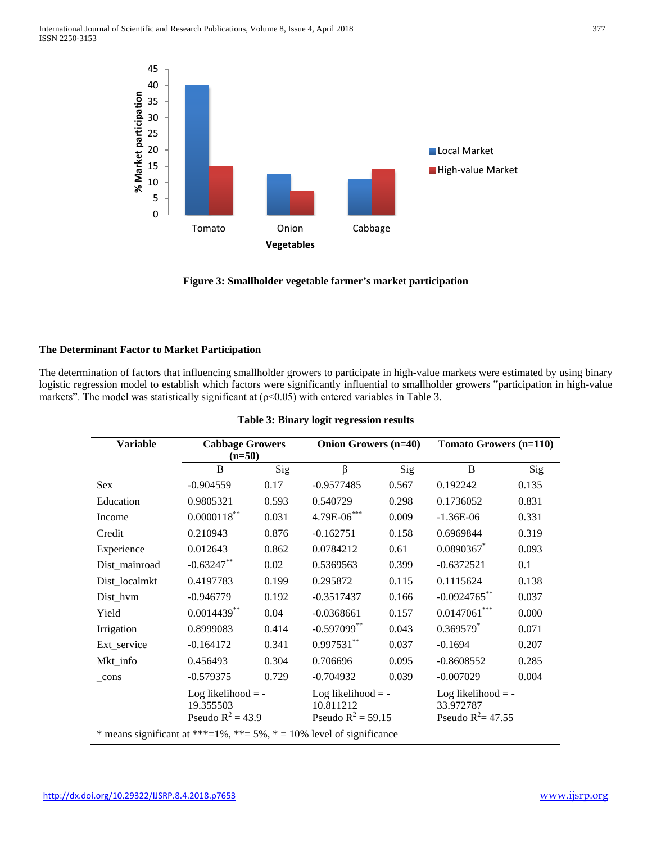



# **The Determinant Factor to Market Participation**

The determination of factors that influencing smallholder growers to participate in high-value markets were estimated by using binary logistic regression model to establish which factors were significantly influential to smallholder growers "participation in high-value markets". The model was statistically significant at  $(p<0.05)$  with entered variables in Table 3.

| <b>Variable</b>                                                      | <b>Cabbage Growers</b><br>$(n=50)$ |       | <b>Onion Growers (n=40)</b>       |       | <b>Tomato Growers (n=110)</b>     |       |
|----------------------------------------------------------------------|------------------------------------|-------|-----------------------------------|-------|-----------------------------------|-------|
|                                                                      | B                                  | Sig   | $\beta$                           | Sig   | B                                 | Sig   |
| <b>Sex</b>                                                           | $-0.904559$                        | 0.17  | $-0.9577485$                      | 0.567 | 0.192242                          | 0.135 |
| Education                                                            | 0.9805321                          | 0.593 | 0.540729                          | 0.298 | 0.1736052                         | 0.831 |
| Income                                                               | $0.0000118$ **                     | 0.031 | 4.79E-06***                       | 0.009 | $-1.36E-06$                       | 0.331 |
| Credit                                                               | 0.210943                           | 0.876 | $-0.162751$                       | 0.158 | 0.6969844                         | 0.319 |
| Experience                                                           | 0.012643                           | 0.862 | 0.0784212                         | 0.61  | $0.0890367$ *                     | 0.093 |
| Dist_mainroad                                                        | $-0.63247**$                       | 0.02  | 0.5369563                         | 0.399 | $-0.6372521$                      | 0.1   |
| Dist_localmkt                                                        | 0.4197783                          | 0.199 | 0.295872                          | 0.115 | 0.1115624                         | 0.138 |
| Dist_hvm                                                             | $-0.946779$                        | 0.192 | $-0.3517437$                      | 0.166 | $-0.0924765$ **                   | 0.037 |
| Yield                                                                | $0.0014439**$                      | 0.04  | $-0.0368661$                      | 0.157 | $0.0147061***$                    | 0.000 |
| Irrigation                                                           | 0.8999083                          | 0.414 | $-0.597099$ **                    | 0.043 | $0.369579$ <sup>*</sup>           | 0.071 |
| Ext_service                                                          | $-0.164172$                        | 0.341 | $0.997531**$                      | 0.037 | $-0.1694$                         | 0.207 |
| Mkt_info                                                             | 0.456493                           | 0.304 | 0.706696                          | 0.095 | $-0.8608552$                      | 0.285 |
| cons                                                                 | $-0.579375$                        | 0.729 | $-0.704932$                       | 0.039 | $-0.007029$                       | 0.004 |
|                                                                      | Log likelihood $= -$               |       | Log likelihood $=$ -              |       | Log likelihood $=$ -              |       |
|                                                                      | 19.355503<br>Pseudo $R^2 = 43.9$   |       | 10.811212<br>Pseudo $R^2 = 59.15$ |       | 33.972787<br>Pseudo $R^2 = 47.55$ |       |
|                                                                      |                                    |       |                                   |       |                                   |       |
| * means significant at ***=1%, **= 5%, * = 10% level of significance |                                    |       |                                   |       |                                   |       |

|  | Table 3: Binary logit regression results |  |
|--|------------------------------------------|--|
|  |                                          |  |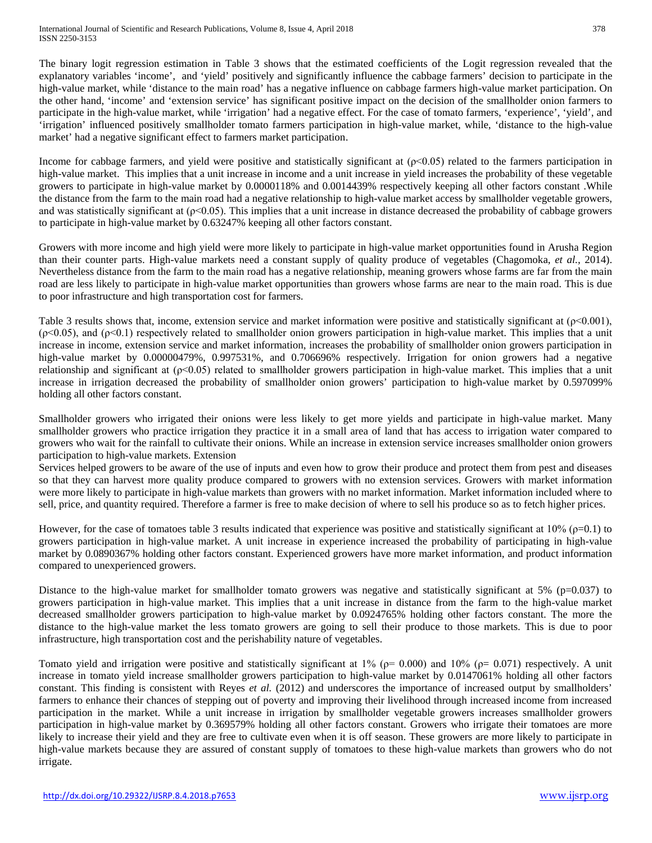The binary logit regression estimation in Table 3 shows that the estimated coefficients of the Logit regression revealed that the explanatory variables 'income', and 'yield' positively and significantly influence the cabbage farmers' decision to participate in the high-value market, while 'distance to the main road' has a negative influence on cabbage farmers high-value market participation. On the other hand, 'income' and 'extension service' has significant positive impact on the decision of the smallholder onion farmers to participate in the high-value market, while 'irrigation' had a negative effect. For the case of tomato farmers, 'experience', 'yield', and 'irrigation' influenced positively smallholder tomato farmers participation in high-value market, while, 'distance to the high-value market' had a negative significant effect to farmers market participation.

Income for cabbage farmers, and yield were positive and statistically significant at  $(p<0.05)$  related to the farmers participation in high-value market. This implies that a unit increase in income and a unit increase in yield increases the probability of these vegetable growers to participate in high-value market by 0.0000118% and 0.0014439% respectively keeping all other factors constant .While the distance from the farm to the main road had a negative relationship to high-value market access by smallholder vegetable growers, and was statistically significant at  $(\rho < 0.05)$ . This implies that a unit increase in distance decreased the probability of cabbage growers to participate in high-value market by 0.63247% keeping all other factors constant.

Growers with more income and high yield were more likely to participate in high-value market opportunities found in Arusha Region than their counter parts. High-value markets need a constant supply of quality produce of vegetables (Chagomoka, *et al.,* 2014). Nevertheless distance from the farm to the main road has a negative relationship, meaning growers whose farms are far from the main road are less likely to participate in high-value market opportunities than growers whose farms are near to the main road. This is due to poor infrastructure and high transportation cost for farmers.

Table 3 results shows that, income, extension service and market information were positive and statistically significant at  $(\rho < 0.001)$ , (ρ<0.05), and (ρ<0.1) respectively related to smallholder onion growers participation in high-value market. This implies that a unit increase in income, extension service and market information, increases the probability of smallholder onion growers participation in high-value market by 0.00000479%, 0.997531%, and 0.706696% respectively. Irrigation for onion growers had a negative relationship and significant at  $(p<0.05)$  related to smallholder growers participation in high-value market. This implies that a unit increase in irrigation decreased the probability of smallholder onion growers' participation to high-value market by 0.597099% holding all other factors constant.

Smallholder growers who irrigated their onions were less likely to get more yields and participate in high-value market. Many smallholder growers who practice irrigation they practice it in a small area of land that has access to irrigation water compared to growers who wait for the rainfall to cultivate their onions. While an increase in extension service increases smallholder onion growers participation to high-value markets. Extension

Services helped growers to be aware of the use of inputs and even how to grow their produce and protect them from pest and diseases so that they can harvest more quality produce compared to growers with no extension services. Growers with market information were more likely to participate in high-value markets than growers with no market information. Market information included where to sell, price, and quantity required. Therefore a farmer is free to make decision of where to sell his produce so as to fetch higher prices.

However, for the case of tomatoes table 3 results indicated that experience was positive and statistically significant at  $10\%$  ( $\rho$ =0.1) to growers participation in high-value market. A unit increase in experience increased the probability of participating in high-value market by 0.0890367% holding other factors constant. Experienced growers have more market information, and product information compared to unexperienced growers.

Distance to the high-value market for smallholder tomato growers was negative and statistically significant at 5% ( $p=0.037$ ) to growers participation in high-value market. This implies that a unit increase in distance from the farm to the high-value market decreased smallholder growers participation to high-value market by 0.0924765% holding other factors constant. The more the distance to the high-value market the less tomato growers are going to sell their produce to those markets. This is due to poor infrastructure, high transportation cost and the perishability nature of vegetables.

Tomato yield and irrigation were positive and statistically significant at  $1\%$  ( $\rho$ = 0.000) and  $10\%$  ( $\rho$ = 0.071) respectively. A unit increase in tomato yield increase smallholder growers participation to high-value market by 0.0147061% holding all other factors constant. This finding is consistent with Reyes *et al.* (2012) and underscores the importance of increased output by smallholders' farmers to enhance their chances of stepping out of poverty and improving their livelihood through increased income from increased participation in the market. While a unit increase in irrigation by smallholder vegetable growers increases smallholder growers participation in high-value market by 0.369579% holding all other factors constant. Growers who irrigate their tomatoes are more likely to increase their yield and they are free to cultivate even when it is off season. These growers are more likely to participate in high-value markets because they are assured of constant supply of tomatoes to these high-value markets than growers who do not irrigate.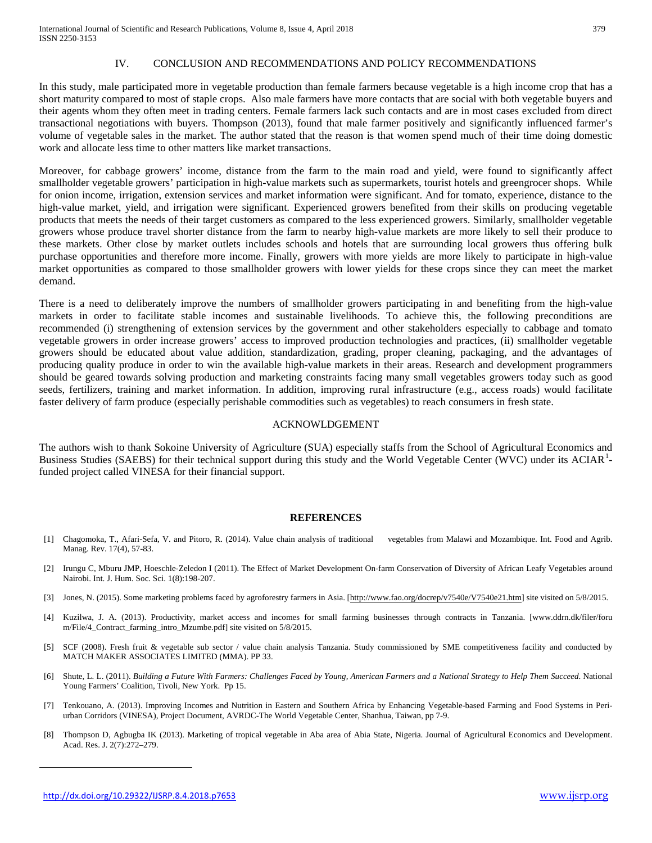# IV. CONCLUSION AND RECOMMENDATIONS AND POLICY RECOMMENDATIONS

In this study, male participated more in vegetable production than female farmers because vegetable is a high income crop that has a short maturity compared to most of staple crops. Also male farmers have more contacts that are social with both vegetable buyers and their agents whom they often meet in trading centers. Female farmers lack such contacts and are in most cases excluded from direct transactional negotiations with buyers. Thompson (2013), found that male farmer positively and significantly influenced farmer's volume of vegetable sales in the market. The author stated that the reason is that women spend much of their time doing domestic work and allocate less time to other matters like market transactions.

Moreover, for cabbage growers' income, distance from the farm to the main road and yield, were found to significantly affect smallholder vegetable growers' participation in high-value markets such as supermarkets, tourist hotels and greengrocer shops. While for onion income, irrigation, extension services and market information were significant. And for tomato, experience, distance to the high-value market, yield, and irrigation were significant. Experienced growers benefited from their skills on producing vegetable products that meets the needs of their target customers as compared to the less experienced growers. Similarly, smallholder vegetable growers whose produce travel shorter distance from the farm to nearby high-value markets are more likely to sell their produce to these markets. Other close by market outlets includes schools and hotels that are surrounding local growers thus offering bulk purchase opportunities and therefore more income. Finally, growers with more yields are more likely to participate in high-value market opportunities as compared to those smallholder growers with lower yields for these crops since they can meet the market demand.

There is a need to deliberately improve the numbers of smallholder growers participating in and benefiting from the high-value markets in order to facilitate stable incomes and sustainable livelihoods. To achieve this, the following preconditions are recommended (i) strengthening of extension services by the government and other stakeholders especially to cabbage and tomato vegetable growers in order increase growers' access to improved production technologies and practices, (ii) smallholder vegetable growers should be educated about value addition, standardization, grading, proper cleaning, packaging, and the advantages of producing quality produce in order to win the available high-value markets in their areas. Research and development programmers should be geared towards solving production and marketing constraints facing many small vegetables growers today such as good seeds, fertilizers, training and market information. In addition, improving rural infrastructure (e.g., access roads) would facilitate faster delivery of farm produce (especially perishable commodities such as vegetables) to reach consumers in fresh state.

#### ACKNOWLDGEMENT

The authors wish to thank Sokoine University of Agriculture (SUA) especially staffs from the School of Agricultural Economics and Business Studies (SAEBS) for their technical support during this study and the World Vegetable Center (WVC) under its ACIAR<sup>[1](#page-0-0)</sup>funded project called VINESA for their financial support.

#### **REFERENCES**

- [1] Chagomoka, T., Afari-Sefa, V. and Pitoro, R. (2014). Value chain analysis of traditional vegetables from Malawi and Mozambique. Int. Food and Agrib. Manag. Rev. 17(4), 57-83.
- [2] Irungu C, Mburu JMP, Hoeschle-Zeledon I (2011). The Effect of Market Development On-farm Conservation of Diversity of African Leafy Vegetables around Nairobi. Int. J. Hum. Soc. Sci. 1(8):198-207.
- [3] Jones, N. (2015). Some marketing problems faced by agroforestry farmers in Asia. [\[http://www.fao.org/docrep/v7540e/V7540e21.htm\]](http://www.fao.org/docrep/v7540e/V7540e21.htm) site visited on 5/8/2015.
- [4] Kuzilwa, J. A. (2013). Productivity, market access and incomes for small farming businesses through contracts in Tanzania. [www.ddrn.dk/filer/foru m/File/4\_Contract\_farming\_intro\_Mzumbe.pdf] site visited on 5/8/2015.
- [5] SCF (2008). Fresh fruit & vegetable sub sector / value chain analysis Tanzania. Study commissioned by SME competitiveness facility and conducted by MATCH MAKER ASSOCIATES LIMITED (MMA). PP 33.
- [6] Shute, L. L. (2011). *Building a Future With Farmers: Challenges Faced by Young, American Farmers and a National Strategy to Help Them Succeed*. National Young Farmers' Coalition, Tivoli, New York. Pp 15.
- [7] Tenkouano, A. (2013). Improving Incomes and Nutrition in Eastern and Southern Africa by Enhancing Vegetable-based Farming and Food Systems in Periurban Corridors (VINESA), Project Document, AVRDC-The World Vegetable Center, Shanhua, Taiwan, pp 7-9.
- [8] Thompson D, Agbugba IK (2013). Marketing of tropical vegetable in Aba area of Abia State, Nigeria. Journal of Agricultural Economics and Development. Acad. Res. J. 2(7):272–279.

 $\overline{\phantom{a}}$ 

<http://dx.doi.org/10.29322/IJSRP.8.4.2018.p7653> [www.ijsrp.org](http://ijsrp.org/)